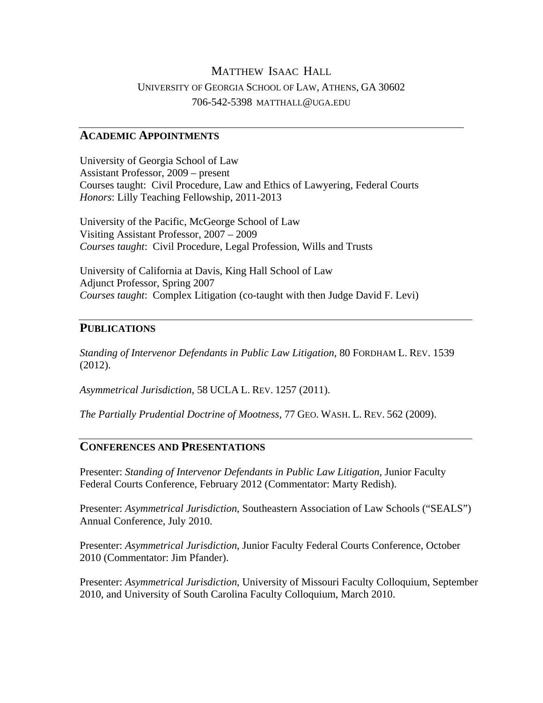# MATTHEW ISAAC HALL UNIVERSITY OF GEORGIA SCHOOL OF LAW, ATHENS, GA 30602 706-542-5398 MATTHALL@UGA.EDU

#### **ACADEMIC APPOINTMENTS**

University of Georgia School of Law Assistant Professor, 2009 – present Courses taught: Civil Procedure, Law and Ethics of Lawyering, Federal Courts *Honors*: Lilly Teaching Fellowship, 2011-2013

University of the Pacific, McGeorge School of Law Visiting Assistant Professor, 2007 – 2009 *Courses taught*: Civil Procedure, Legal Profession, Wills and Trusts

University of California at Davis, King Hall School of Law Adjunct Professor, Spring 2007 *Courses taught*: Complex Litigation (co-taught with then Judge David F. Levi)

### **PUBLICATIONS**

*Standing of Intervenor Defendants in Public Law Litigation*, 80 FORDHAM L. REV. 1539 (2012).

*Asymmetrical Jurisdiction*, 58 UCLA L. REV. 1257 (2011).

*The Partially Prudential Doctrine of Mootness*, 77 GEO. WASH. L. REV. 562 (2009).

### **CONFERENCES AND PRESENTATIONS**

Presenter: *Standing of Intervenor Defendants in Public Law Litigation*, Junior Faculty Federal Courts Conference, February 2012 (Commentator: Marty Redish).

Presenter: *Asymmetrical Jurisdiction*, Southeastern Association of Law Schools ("SEALS") Annual Conference, July 2010.

Presenter: *Asymmetrical Jurisdiction*, Junior Faculty Federal Courts Conference, October 2010 (Commentator: Jim Pfander).

Presenter: *Asymmetrical Jurisdiction*, University of Missouri Faculty Colloquium, September 2010, and University of South Carolina Faculty Colloquium, March 2010.